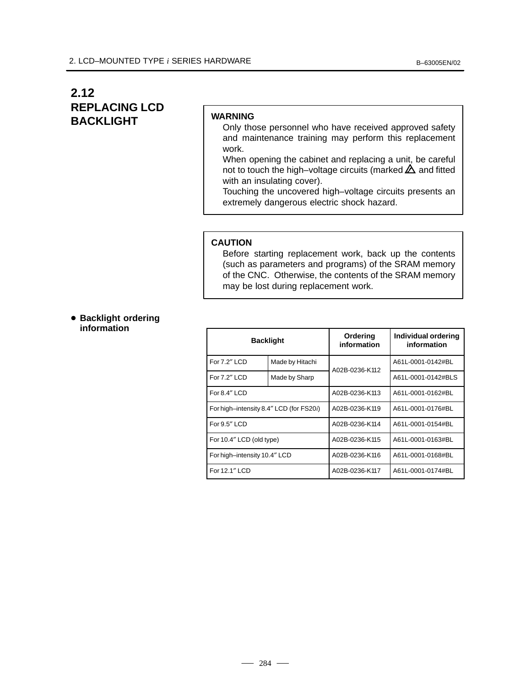# **2.12 REPLACING LCD BACKLIGHT**

### **WARNING**

- Only those personnel who have received approved safety and maintenance training may perform this replacement work.
- When opening the cabinet and replacing a unit, be careful not to touch the high–voltage circuits (marked  $\triangle$  and fitted with an insulating cover).

Touching the uncovered high–voltage circuits presents an extremely dangerous electric shock hazard.

#### **CAUTION**

Before starting replacement work, back up the contents (such as parameters and programs) of the SRAM memory of the CNC. Otherwise, the contents of the SRAM memory may be lost during replacement work.

**• Backlight ordering information**

| <b>Backlight</b>                        |                 | Ordering<br>information | Individual ordering<br>information |
|-----------------------------------------|-----------------|-------------------------|------------------------------------|
| For 7.2" LCD                            | Made by Hitachi | A02B-0236-K112          | A61L-0001-0142#BL                  |
| For 7.2" LCD                            | Made by Sharp   |                         | A61L-0001-0142#BLS                 |
| For 8.4" LCD                            |                 | A02B-0236-K113          | A61L-0001-0162#BL                  |
| For high-intensity 8.4" LCD (for FS20i) |                 | A02B-0236-K119          | A61L-0001-0176#BL                  |
| For 9.5" LCD                            |                 | A02B-0236-K114          | A61L-0001-0154#BL                  |
| For 10.4" LCD (old type)                |                 | A02B-0236-K115          | A61L-0001-0163#BL                  |
| For high-intensity 10.4" LCD            |                 | A02B-0236-K116          | A61L-0001-0168#BL                  |
| For 12.1" LCD                           |                 | A02B-0236-K117          | A61L-0001-0174#BL                  |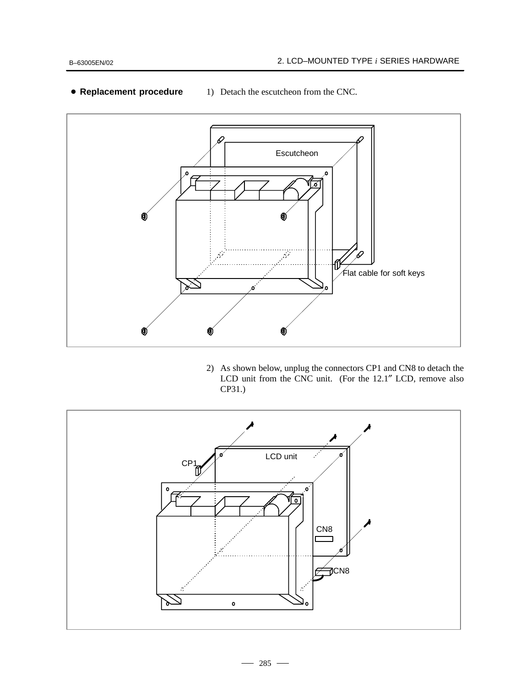

## - **Replacement procedure**

1) Detach the escutcheon from the CNC.

2) As shown below, unplug the connectors CP1 and CN8 to detach the LCD unit from the CNC unit. (For the 12.1″ LCD, remove also CP31.)

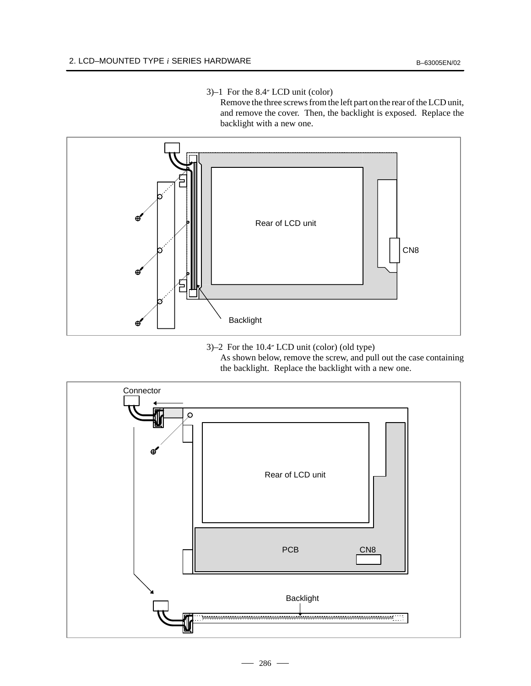#### 3)–1 For the 8.4″ LCD unit (color)

Remove the three screws from the left part on the rear of the LCD unit, and remove the cover. Then, the backlight is exposed. Replace the backlight with a new one.



3)–2 For the 10.4″ LCD unit (color) (old type) As shown below, remove the screw, and pull out the case containing the backlight. Replace the backlight with a new one.

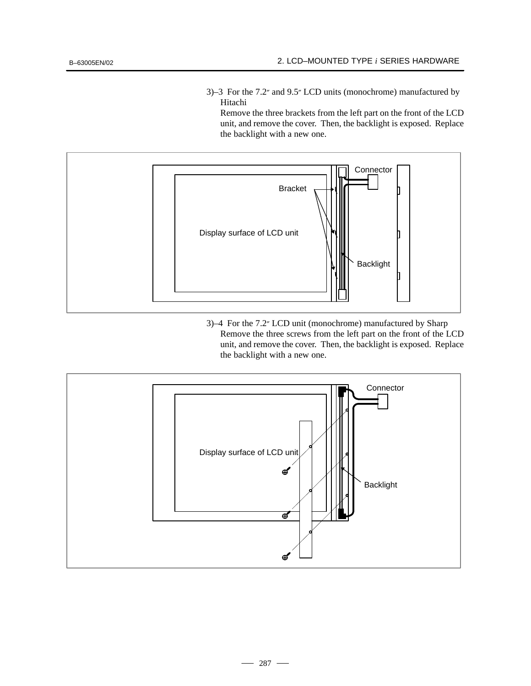3)–3 For the 7.2″ and 9.5″ LCD units (monochrome) manufactured by Hitachi

Remove the three brackets from the left part on the front of the LCD unit, and remove the cover. Then, the backlight is exposed. Replace the backlight with a new one.



3)–4 For the 7.2″ LCD unit (monochrome) manufactured by Sharp Remove the three screws from the left part on the front of the LCD unit, and remove the cover. Then, the backlight is exposed. Replace the backlight with a new one.

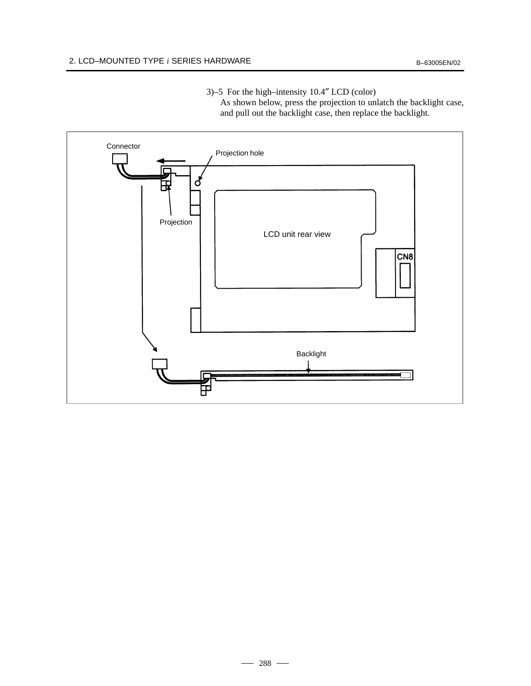3)–5 For the high–intensity 10.4″ LCD (color)

As shown below, press the projection to unlatch the backlight case, and pull out the backlight case, then replace the backlight.

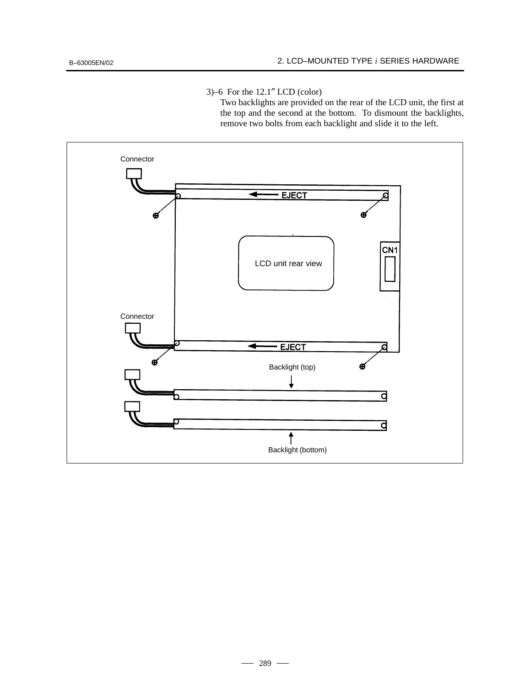3)–6 For the 12.1″ LCD (color)

Two backlights are provided on the rear of the LCD unit, the first at the top and the second at the bottom. To dismount the backlights, remove two bolts from each backlight and slide it to the left.